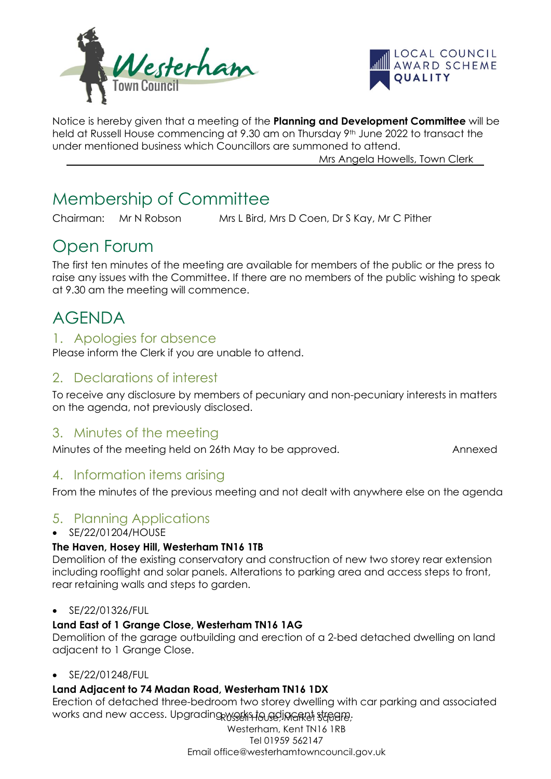



Notice is hereby given that a meeting of the **Planning and Development Committee** will be held at Russell House commencing at 9.30 am on Thursday 9th June 2022 to transact the under mentioned business which Councillors are summoned to attend.

Mrs Angela Howells, Town Clerk

# Membership of Committee

Chairman: Mr N Robson Mrs L Bird, Mrs D Coen, Dr S Kay, Mr C Pither

# Open Forum

The first ten minutes of the meeting are available for members of the public or the press to raise any issues with the Committee. If there are no members of the public wishing to speak at 9.30 am the meeting will commence.

# AGENDA

### 1. Apologies for absence

Please inform the Clerk if you are unable to attend.

# 2. Declarations of interest

To receive any disclosure by members of pecuniary and non-pecuniary interests in matters on the agenda, not previously disclosed.

# 3. Minutes of the meeting

Minutes of the meeting held on 26th May to be approved. Annexed

# 4. Information items arising

From the minutes of the previous meeting and not dealt with anywhere else on the agenda

# 5. Planning Applications

#### • SE/22/01204/HOUSE

#### **The Haven, Hosey Hill, Westerham TN16 1TB**

Demolition of the existing conservatory and construction of new two storey rear extension including rooflight and solar panels. Alterations to parking area and access steps to front, rear retaining walls and steps to garden.

#### • SE/22/01326/FUL

#### **Land East of 1 Grange Close, Westerham TN16 1AG**

Demolition of the garage outbuilding and erection of a 2-bed detached dwelling on land adjacent to 1 Grange Close.

#### • SE/22/01248/FUL

#### **Land Adjacent to 74 Madan Road, Westerham TN16 1DX**

works and new access. Upgrading works to adjing the streame, Erection of detached three-bedroom two storey dwelling with car parking and associated

> Westerham, Kent TN16 1RB Tel 01959 562147 Email office@westerhamtowncouncil.gov.uk